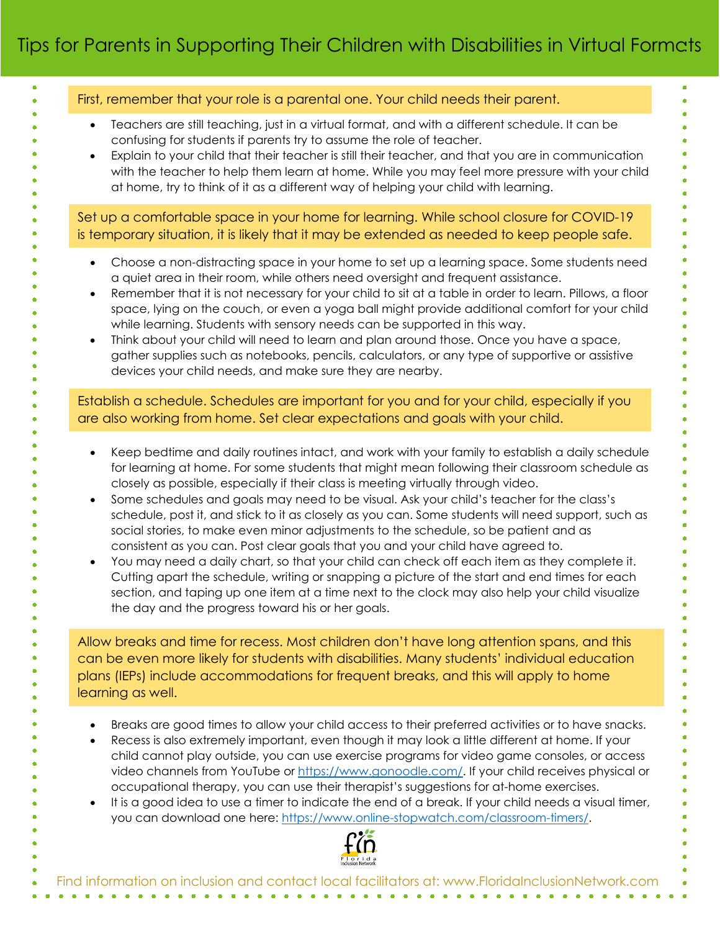|                        | First, remember that your role is a parental one. Your child needs their parent.                                                                                                                                                                                                                                                                                                                                                                                                                                                                                                                                                                                                                                                                                                                                                                                                                                                                                                                                           |
|------------------------|----------------------------------------------------------------------------------------------------------------------------------------------------------------------------------------------------------------------------------------------------------------------------------------------------------------------------------------------------------------------------------------------------------------------------------------------------------------------------------------------------------------------------------------------------------------------------------------------------------------------------------------------------------------------------------------------------------------------------------------------------------------------------------------------------------------------------------------------------------------------------------------------------------------------------------------------------------------------------------------------------------------------------|
| $\bullet$<br>$\bullet$ | Teachers are still teaching, just in a virtual format, and with a different schedule. It can be<br>confusing for students if parents try to assume the role of teacher.<br>Explain to your child that their teacher is still their teacher, and that you are in communication<br>with the teacher to help them learn at home. While you may feel more pressure with your child<br>at home, try to think of it as a different way of helping your child with learning.                                                                                                                                                                                                                                                                                                                                                                                                                                                                                                                                                      |
|                        | Set up a comfortable space in your home for learning. While school closure for COVID-19<br>is temporary situation, it is likely that it may be extended as needed to keep people safe.                                                                                                                                                                                                                                                                                                                                                                                                                                                                                                                                                                                                                                                                                                                                                                                                                                     |
| $\bullet$<br>$\bullet$ | Choose a non-distracting space in your home to set up a learning space. Some students need<br>a quiet area in their room, while others need oversight and frequent assistance.<br>Remember that it is not necessary for your child to sit at a table in order to learn. Pillows, a floor<br>space, lying on the couch, or even a yoga ball might provide additional comfort for your child<br>while learning. Students with sensory needs can be supported in this way.<br>Think about your child will need to learn and plan around those. Once you have a space,<br>gather supplies such as notebooks, pencils, calculators, or any type of supportive or assistive<br>devices your child needs, and make sure they are nearby.                                                                                                                                                                                                                                                                                          |
|                        | Establish a schedule. Schedules are important for you and for your child, especially if you<br>are also working from home. Set clear expectations and goals with your child.                                                                                                                                                                                                                                                                                                                                                                                                                                                                                                                                                                                                                                                                                                                                                                                                                                               |
| $\bullet$              | Keep bedtime and daily routines intact, and work with your family to establish a daily schedule<br>for learning at home. For some students that might mean following their classroom schedule as<br>closely as possible, especially if their class is meeting virtually through video.<br>Some schedules and goals may need to be visual. Ask your child's teacher for the class's<br>schedule, post it, and stick to it as closely as you can. Some students will need support, such as<br>social stories, to make even minor adjustments to the schedule, so be patient and as<br>consistent as you can. Post clear goals that you and your child have agreed to.<br>You may need a daily chart, so that your child can check off each item as they complete it.<br>Cutting apart the schedule, writing or snapping a picture of the start and end times for each<br>section, and taping up one item at a time next to the clock may also help your child visualize<br>the day and the progress toward his or her goals. |
|                        | Allow breaks and time for recess. Most children don't have long attention spans, and this<br>can be even more likely for students with disabilities. Many students' individual education<br>plans (IEPs) include accommodations for frequent breaks, and this will apply to home<br>learning as well.                                                                                                                                                                                                                                                                                                                                                                                                                                                                                                                                                                                                                                                                                                                      |
|                        | Breaks are good times to allow your child access to their preferred activities or to have snacks.<br>Recess is also extremely important, even though it may look a little different at home. If your<br>child cannot play outside, you can use exercise programs for video game consoles, or access<br>video channels from YouTube or https://www.gonoodle.com/. If your child receives physical or<br>occupational therapy, you can use their therapist's suggestions for at-home exercises.<br>It is a good idea to use a timer to indicate the end of a break. If your child needs a visual timer,<br>you can download one here: https://www.online-stopwatch.com/classroom-timers/.                                                                                                                                                                                                                                                                                                                                    |
|                        |                                                                                                                                                                                                                                                                                                                                                                                                                                                                                                                                                                                                                                                                                                                                                                                                                                                                                                                                                                                                                            |
|                        | Find information on inclusion and contact local facilitators at: www.FloridalnclusionNetwork.com                                                                                                                                                                                                                                                                                                                                                                                                                                                                                                                                                                                                                                                                                                                                                                                                                                                                                                                           |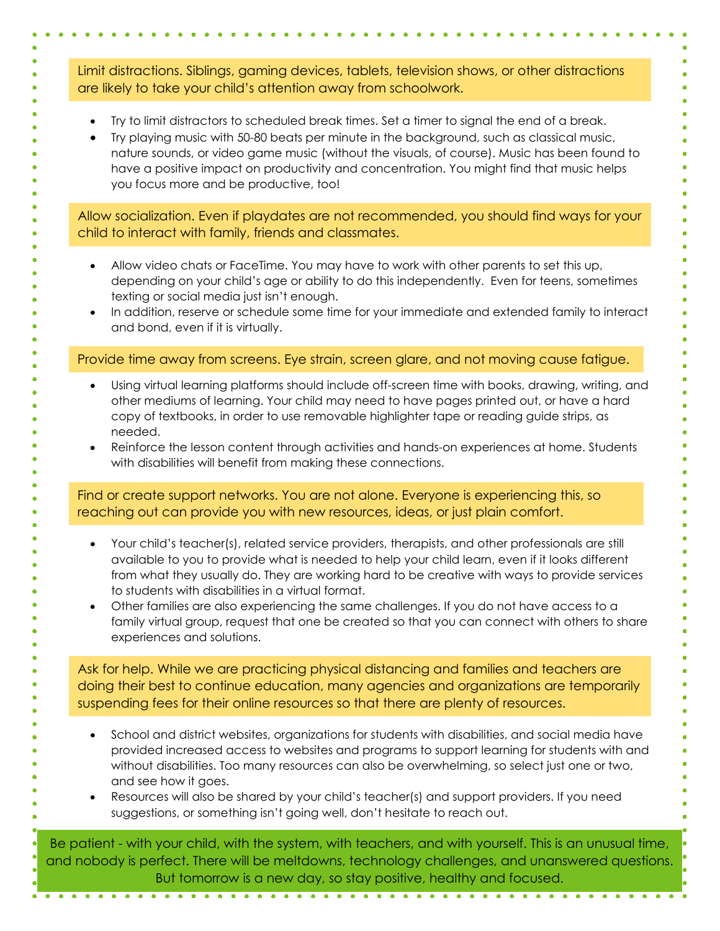Limit distractions. Siblings, gaming devices, tablets, television shows, or other distractions are likely to take your child's attention away from schoolwork.

- Try to limit distractors to scheduled break times. Set a timer to signal the end of a break.
- Try playing music with 50-80 beats per minute in the background, such as classical music, nature sounds, or video game music (without the visuals, of course). Music has been found to have a positive impact on productivity and concentration. You might find that music helps you focus more and be productive, too!

Allow socialization. Even if playdates are not recommended, you should find ways for your child to interact with family, friends and classmates.

- Allow video chats or FaceTime. You may have to work with other parents to set this up, depending on your child's age or ability to do this independently. Even for teens, sometimes texting or social media just isn't enough.
- In addition, reserve or schedule some time for your immediate and extended family to interact and bond, even if it is virtually.

Provide time away from screens. Eye strain, screen glare, and not moving cause fatigue.

- Using virtual learning platforms should include off-screen time with books, drawing, writing, and other mediums of learning. Your child may need to have pages printed out, or have a hard copy of textbooks, in order to use removable highlighter tape or reading guide strips, as needed.
- Reinforce the lesson content through activities and hands-on experiences at home. Students with disabilities will benefit from making these connections.

Find or create support networks. You are not alone. Everyone is experiencing this, so reaching out can provide you with new resources, ideas, or just plain comfort.

- Your child's teacher(s), related service providers, therapists, and other professionals are still available to you to provide what is needed to help your child learn, even if it looks different from what they usually do. They are working hard to be creative with ways to provide services to students with disabilities in a virtual format.
- Other families are also experiencing the same challenges. If you do not have access to a family virtual group, request that one be created so that you can connect with others to share experiences and solutions.

Ask for help. While we are practicing physical distancing and families and teachers are doing their best to continue education, many agencies and organizations are temporarily suspending fees for their online resources so that there are plenty of resources.

- School and district websites, organizations for students with disabilities, and social media have provided increased access to websites and programs to support learning for students with and without disabilities. Too many resources can also be overwhelming, so select just one or two, and see how it goes.
- Resources will also be shared by your child's teacher(s) and support providers. If you need suggestions, or something isn't going well, don't hesitate to reach out.

Be patient - with your child, with the system, with teachers, and with yourself. This is an unusual time, and nobody is perfect. There will be meltdowns, technology challenges, and unanswered questions. But tomorrow is a new day, so stay positive, healthy and focused.